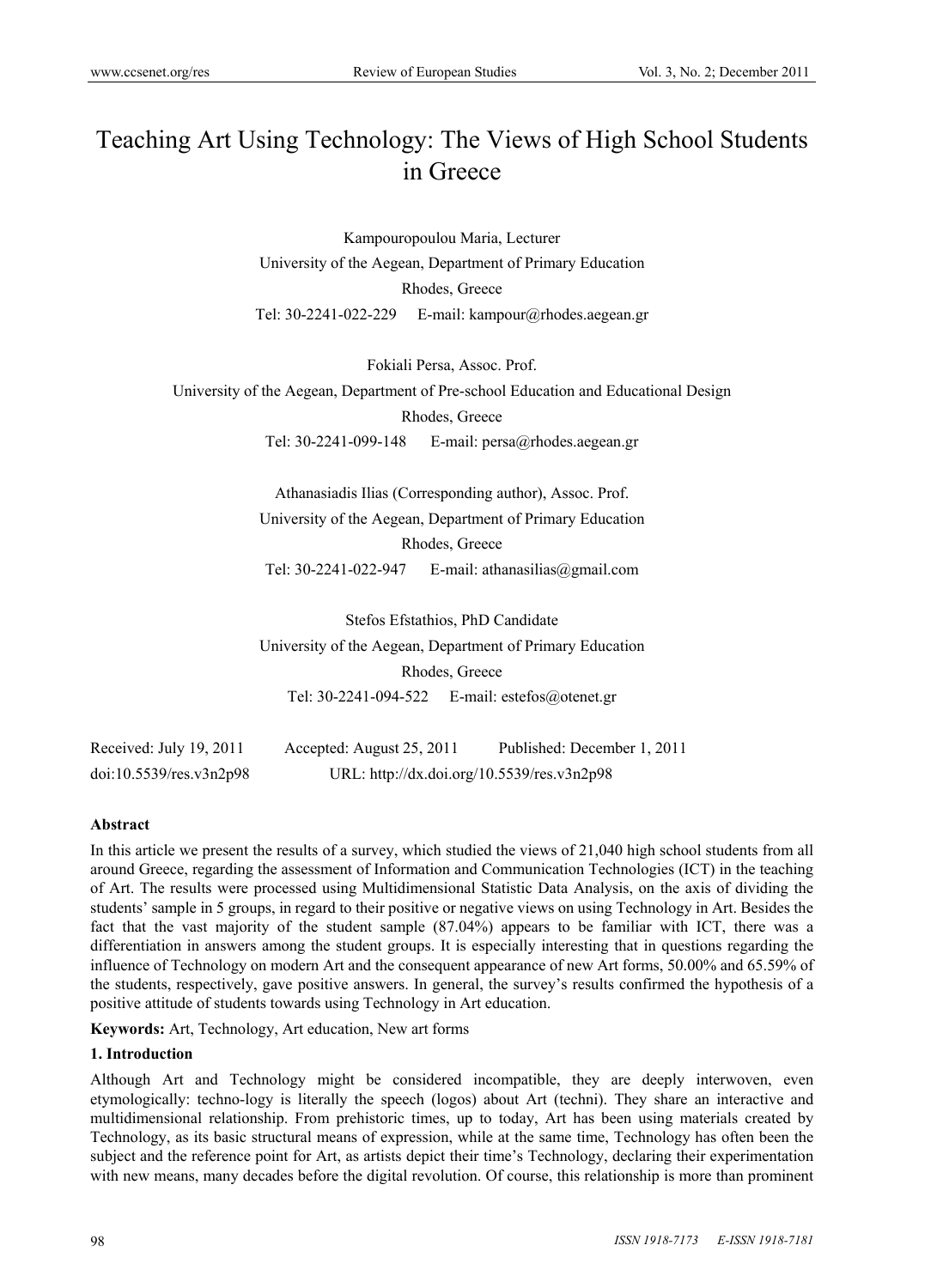# Teaching Art Using Technology: The Views of High School Students in Greece

Kampouropoulou Maria, Lecturer University of the Aegean, Department of Primary Education Rhodes, Greece Tel: 30-2241-022-229 E-mail: kampour@rhodes.aegean.gr

Fokiali Persa, Assoc. Prof.

University of the Aegean, Department of Pre-school Education and Educational Design Rhodes, Greece

Tel: 30-2241-099-148 E-mail: persa@rhodes.aegean.gr

Athanasiadis Ilias (Corresponding author), Assoc. Prof. University of the Aegean, Department of Primary Education Rhodes, Greece Tel: 30-2241-022-947 E-mail: athanasilias@gmail.com

Stefos Efstathios, PhD Candidate University of the Aegean, Department of Primary Education Rhodes, Greece Tel: 30-2241-094-522 E-mail: estefos@otenet.gr

Received: July 19, 2011 Accepted: August 25, 2011 Published: December 1, 2011 doi:10.5539/res.v3n2p98 URL: http://dx.doi.org/10.5539/res.v3n2p98

#### **Abstract**

In this article we present the results of a survey, which studied the views of 21,040 high school students from all around Greece, regarding the assessment of Information and Communication Technologies (ICT) in the teaching of Art. The results were processed using Multidimensional Statistic Data Analysis, on the axis of dividing the students' sample in 5 groups, in regard to their positive or negative views on using Technology in Art. Besides the fact that the vast majority of the student sample (87.04%) appears to be familiar with ICT, there was a differentiation in answers among the student groups. It is especially interesting that in questions regarding the influence of Technology on modern Art and the consequent appearance of new Art forms, 50.00% and 65.59% of the students, respectively, gave positive answers. In general, the survey's results confirmed the hypothesis of a positive attitude of students towards using Technology in Art education.

**Keywords:** Art, Technology, Art education, New art forms

#### **1. Introduction**

Although Art and Technology might be considered incompatible, they are deeply interwoven, even etymologically: techno-logy is literally the speech (logos) about Art (techni). They share an interactive and multidimensional relationship. From prehistoric times, up to today, Art has been using materials created by Technology, as its basic structural means of expression, while at the same time, Technology has often been the subject and the reference point for Art, as artists depict their time's Technology, declaring their experimentation with new means, many decades before the digital revolution. Of course, this relationship is more than prominent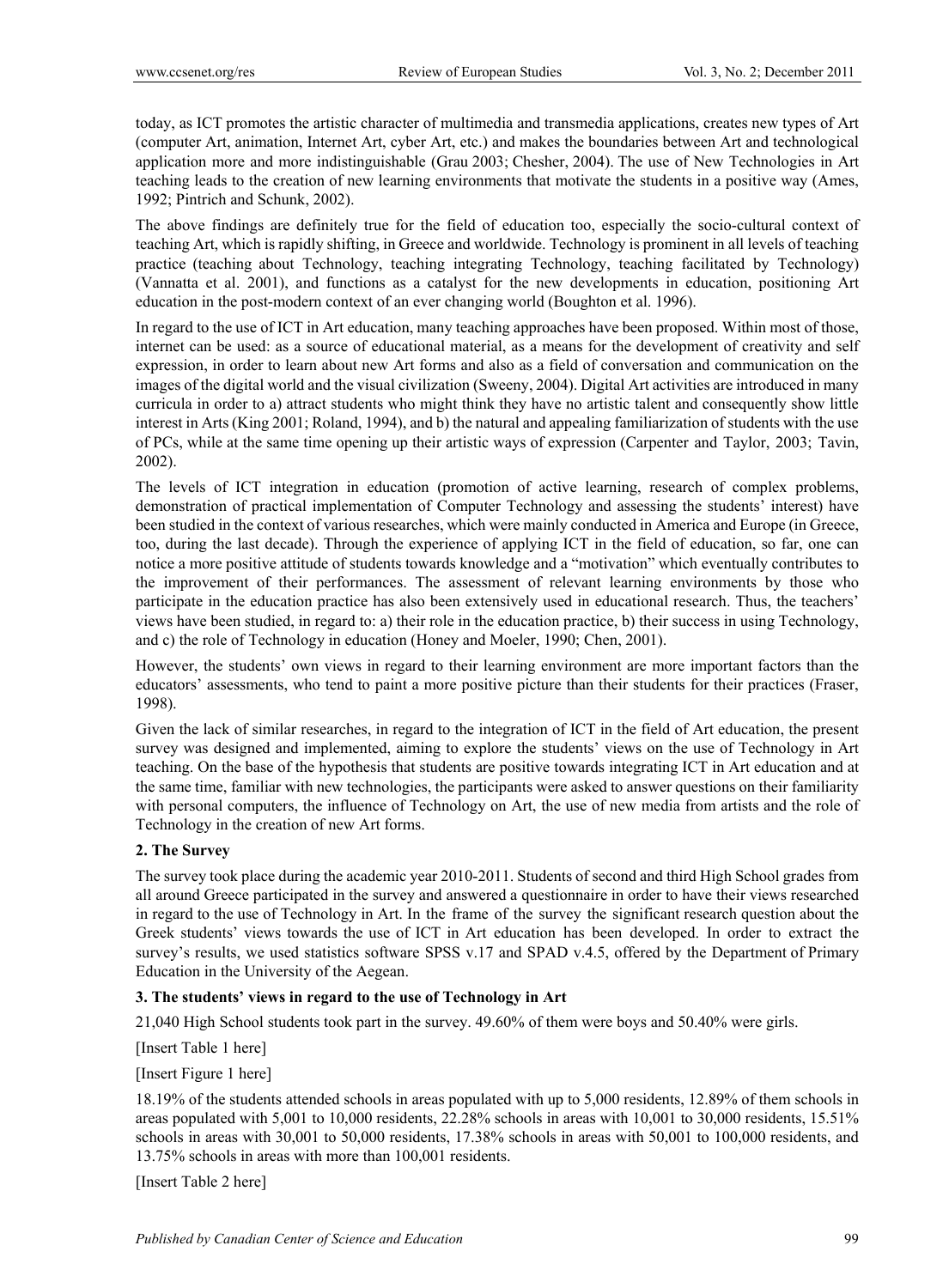today, as ICT promotes the artistic character of multimedia and transmedia applications, creates new types of Art (computer Art, animation, Internet Art, cyber Art, etc.) and makes the boundaries between Art and technological application more and more indistinguishable (Grau 2003; Chesher, 2004). The use of New Technologies in Art teaching leads to the creation of new learning environments that motivate the students in a positive way (Ames, 1992; Pintrich and Schunk, 2002).

The above findings are definitely true for the field of education too, especially the socio-cultural context of teaching Art, which is rapidly shifting, in Greece and worldwide. Technology is prominent in all levels of teaching practice (teaching about Technology, teaching integrating Technology, teaching facilitated by Technology) (Vannatta et al. 2001), and functions as a catalyst for the new developments in education, positioning Art education in the post-modern context of an ever changing world (Boughton et al. 1996).

In regard to the use of ICT in Art education, many teaching approaches have been proposed. Within most of those, internet can be used: as a source of educational material, as a means for the development of creativity and self expression, in order to learn about new Art forms and also as a field of conversation and communication on the images of the digital world and the visual civilization (Sweeny, 2004). Digital Art activities are introduced in many curricula in order to a) attract students who might think they have no artistic talent and consequently show little interest in Arts (King 2001; Roland, 1994), and b) the natural and appealing familiarization of students with the use of PCs, while at the same time opening up their artistic ways of expression (Carpenter and Taylor, 2003; Tavin, 2002).

The levels of ICT integration in education (promotion of active learning, research of complex problems, demonstration of practical implementation of Computer Technology and assessing the students' interest) have been studied in the context of various researches, which were mainly conducted in America and Europe (in Greece, too, during the last decade). Through the experience of applying ICT in the field of education, so far, one can notice a more positive attitude of students towards knowledge and a "motivation" which eventually contributes to the improvement of their performances. The assessment of relevant learning environments by those who participate in the education practice has also been extensively used in educational research. Thus, the teachers' views have been studied, in regard to: a) their role in the education practice, b) their success in using Technology, and c) the role of Technology in education (Honey and Moeler, 1990; Chen, 2001).

However, the students' own views in regard to their learning environment are more important factors than the educators' assessments, who tend to paint a more positive picture than their students for their practices (Fraser, 1998).

Given the lack of similar researches, in regard to the integration of ICT in the field of Art education, the present survey was designed and implemented, aiming to explore the students' views on the use of Technology in Art teaching. On the base of the hypothesis that students are positive towards integrating ICT in Art education and at the same time, familiar with new technologies, the participants were asked to answer questions on their familiarity with personal computers, the influence of Technology on Art, the use of new media from artists and the role of Technology in the creation of new Art forms.

#### **2. The Survey**

The survey took place during the academic year 2010-2011. Students of second and third High School grades from all around Greece participated in the survey and answered a questionnaire in order to have their views researched in regard to the use of Technology in Art. In the frame of the survey the significant research question about the Greek students' views towards the use of ICT in Art education has been developed. In order to extract the survey's results, we used statistics software SPSS v.17 and SPAD v.4.5, offered by the Department of Primary Education in the University of the Aegean.

## **3. The students' views in regard to the use of Technology in Art**

21,040 High School students took part in the survey. 49.60% of them were boys and 50.40% were girls.

[Insert Table 1 here]

[Insert Figure 1 here]

18.19% of the students attended schools in areas populated with up to 5,000 residents, 12.89% of them schools in areas populated with 5,001 to 10,000 residents, 22.28% schools in areas with 10,001 to 30,000 residents, 15.51% schools in areas with 30,001 to 50,000 residents, 17.38% schools in areas with 50,001 to 100,000 residents, and 13.75% schools in areas with more than 100,001 residents.

[Insert Table 2 here]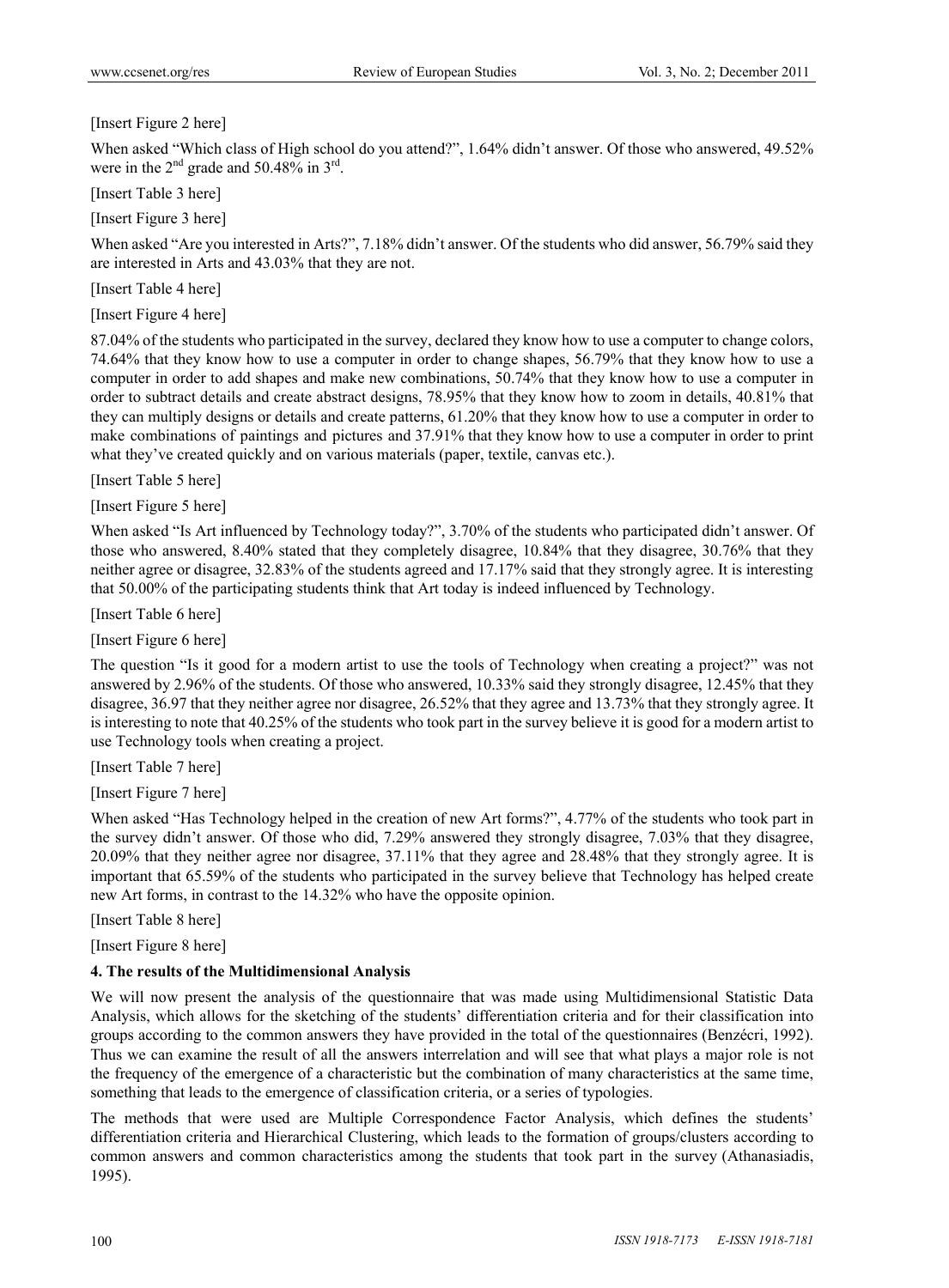[Insert Figure 2 here]

When asked "Which class of High school do you attend?", 1.64% didn't answer. Of those who answered, 49.52% were in the  $2<sup>nd</sup>$  grade and 50.48% in  $3<sup>rd</sup>$ .

[Insert Table 3 here]

[Insert Figure 3 here]

When asked "Are you interested in Arts?", 7.18% didn't answer. Of the students who did answer, 56.79% said they are interested in Arts and 43.03% that they are not.

[Insert Table 4 here]

[Insert Figure 4 here]

87.04% of the students who participated in the survey, declared they know how to use a computer to change colors, 74.64% that they know how to use a computer in order to change shapes, 56.79% that they know how to use a computer in order to add shapes and make new combinations, 50.74% that they know how to use a computer in order to subtract details and create abstract designs, 78.95% that they know how to zoom in details, 40.81% that they can multiply designs or details and create patterns, 61.20% that they know how to use a computer in order to make combinations of paintings and pictures and 37.91% that they know how to use a computer in order to print what they've created quickly and on various materials (paper, textile, canvas etc.).

[Insert Table 5 here]

[Insert Figure 5 here]

When asked "Is Art influenced by Technology today?", 3.70% of the students who participated didn't answer. Of those who answered, 8.40% stated that they completely disagree, 10.84% that they disagree, 30.76% that they neither agree or disagree, 32.83% of the students agreed and 17.17% said that they strongly agree. It is interesting that 50.00% of the participating students think that Art today is indeed influenced by Technology.

[Insert Table 6 here]

[Insert Figure 6 here]

The question "Is it good for a modern artist to use the tools of Technology when creating a project?" was not answered by 2.96% of the students. Of those who answered, 10.33% said they strongly disagree, 12.45% that they disagree, 36.97 that they neither agree nor disagree, 26.52% that they agree and 13.73% that they strongly agree. It is interesting to note that 40.25% of the students who took part in the survey believe it is good for a modern artist to use Technology tools when creating a project.

[Insert Table 7 here]

[Insert Figure 7 here]

When asked "Has Technology helped in the creation of new Art forms?", 4.77% of the students who took part in the survey didn't answer. Of those who did, 7.29% answered they strongly disagree, 7.03% that they disagree, 20.09% that they neither agree nor disagree, 37.11% that they agree and 28.48% that they strongly agree. It is important that 65.59% of the students who participated in the survey believe that Technology has helped create new Art forms, in contrast to the 14.32% who have the opposite opinion.

[Insert Table 8 here]

[Insert Figure 8 here]

## **4. The results of the Multidimensional Analysis**

We will now present the analysis of the questionnaire that was made using Multidimensional Statistic Data Analysis, which allows for the sketching of the students' differentiation criteria and for their classification into groups according to the common answers they have provided in the total of the questionnaires (Benzécri, 1992). Thus we can examine the result of all the answers interrelation and will see that what plays a major role is not the frequency of the emergence of a characteristic but the combination of many characteristics at the same time, something that leads to the emergence of classification criteria, or a series of typologies.

The methods that were used are Multiple Correspondence Factor Analysis, which defines the students' differentiation criteria and Hierarchical Clustering, which leads to the formation of groups/clusters according to common answers and common characteristics among the students that took part in the survey (Athanasiadis, 1995).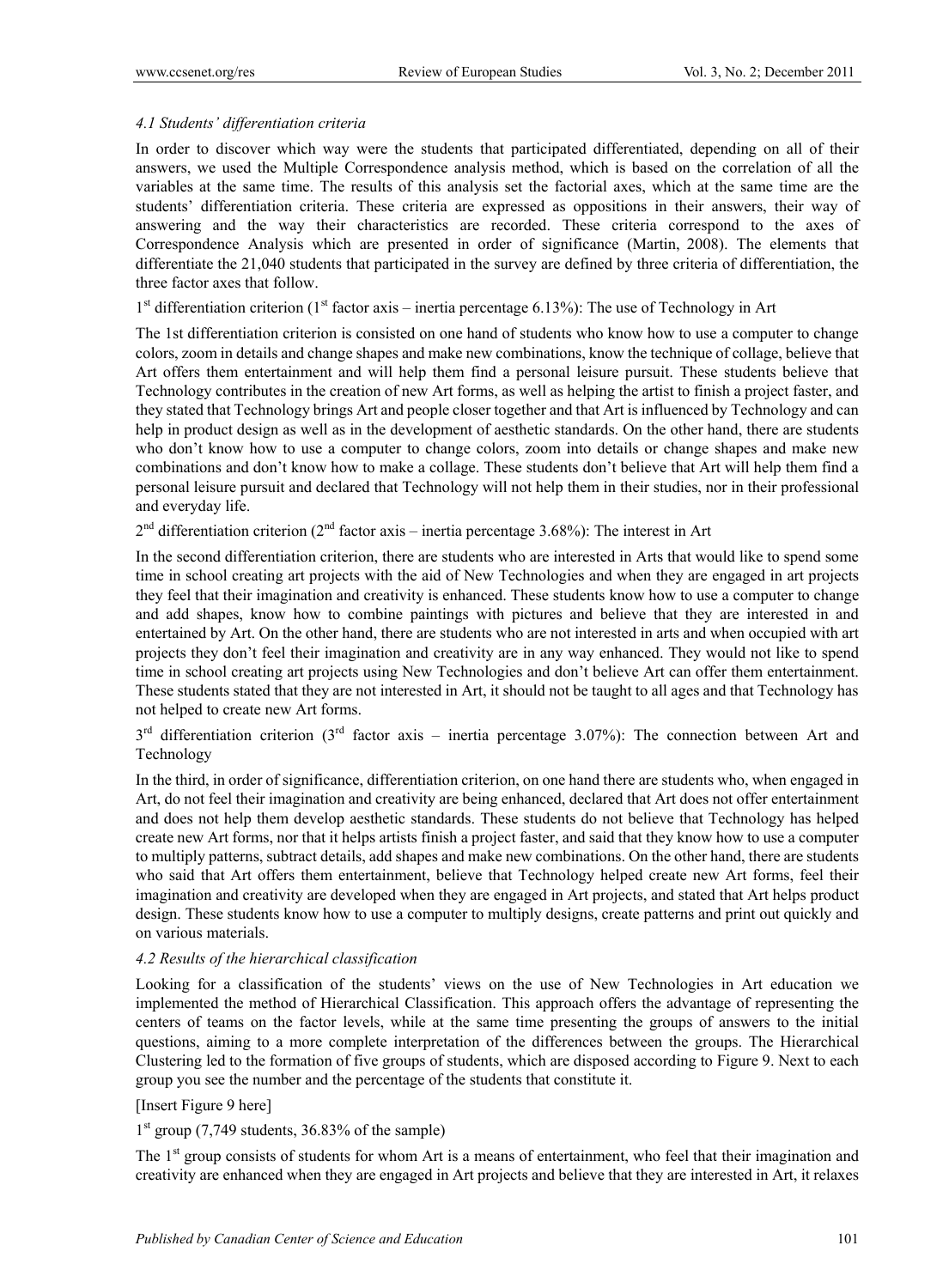### *4.1 Students' differentiation criteria*

In order to discover which way were the students that participated differentiated, depending on all of their answers, we used the Multiple Correspondence analysis method, which is based on the correlation of all the variables at the same time. The results of this analysis set the factorial axes, which at the same time are the students' differentiation criteria. These criteria are expressed as oppositions in their answers, their way of answering and the way their characteristics are recorded. These criteria correspond to the axes of Correspondence Analysis which are presented in order of significance (Martin, 2008). The elements that differentiate the 21,040 students that participated in the survey are defined by three criteria of differentiation, the three factor axes that follow.

 $1<sup>st</sup>$  differentiation criterion ( $1<sup>st</sup>$  factor axis – inertia percentage 6.13%): The use of Technology in Art

The 1st differentiation criterion is consisted on one hand of students who know how to use a computer to change colors, zoom in details and change shapes and make new combinations, know the technique of collage, believe that Art offers them entertainment and will help them find a personal leisure pursuit. These students believe that Technology contributes in the creation of new Art forms, as well as helping the artist to finish a project faster, and they stated that Technology brings Art and people closer together and that Art is influenced by Technology and can help in product design as well as in the development of aesthetic standards. On the other hand, there are students who don't know how to use a computer to change colors, zoom into details or change shapes and make new combinations and don't know how to make a collage. These students don't believe that Art will help them find a personal leisure pursuit and declared that Technology will not help them in their studies, nor in their professional and everyday life.

 $2<sup>nd</sup>$  differentiation criterion ( $2<sup>nd</sup>$  factor axis – inertia percentage 3.68%): The interest in Art

In the second differentiation criterion, there are students who are interested in Arts that would like to spend some time in school creating art projects with the aid of New Technologies and when they are engaged in art projects they feel that their imagination and creativity is enhanced. These students know how to use a computer to change and add shapes, know how to combine paintings with pictures and believe that they are interested in and entertained by Art. On the other hand, there are students who are not interested in arts and when occupied with art projects they don't feel their imagination and creativity are in any way enhanced. They would not like to spend time in school creating art projects using New Technologies and don't believe Art can offer them entertainment. These students stated that they are not interested in Art, it should not be taught to all ages and that Technology has not helped to create new Art forms.

 $3<sup>rd</sup>$  differentiation criterion (3<sup>rd</sup> factor axis – inertia percentage 3.07%): The connection between Art and Technology

In the third, in order of significance, differentiation criterion, on one hand there are students who, when engaged in Art, do not feel their imagination and creativity are being enhanced, declared that Art does not offer entertainment and does not help them develop aesthetic standards. These students do not believe that Technology has helped create new Art forms, nor that it helps artists finish a project faster, and said that they know how to use a computer to multiply patterns, subtract details, add shapes and make new combinations. On the other hand, there are students who said that Art offers them entertainment, believe that Technology helped create new Art forms, feel their imagination and creativity are developed when they are engaged in Art projects, and stated that Art helps product design. These students know how to use a computer to multiply designs, create patterns and print out quickly and on various materials.

## *4.2 Results of the hierarchical classification*

Looking for a classification of the students' views on the use of New Technologies in Art education we implemented the method of Hierarchical Classification. This approach offers the advantage of representing the centers of teams on the factor levels, while at the same time presenting the groups of answers to the initial questions, aiming to a more complete interpretation of the differences between the groups. The Hierarchical Clustering led to the formation of five groups of students, which are disposed according to Figure 9. Next to each group you see the number and the percentage of the students that constitute it.

# [Insert Figure 9 here]

 $1<sup>st</sup>$  group (7,749 students, 36.83% of the sample)

The 1<sup>st</sup> group consists of students for whom Art is a means of entertainment, who feel that their imagination and creativity are enhanced when they are engaged in Art projects and believe that they are interested in Art, it relaxes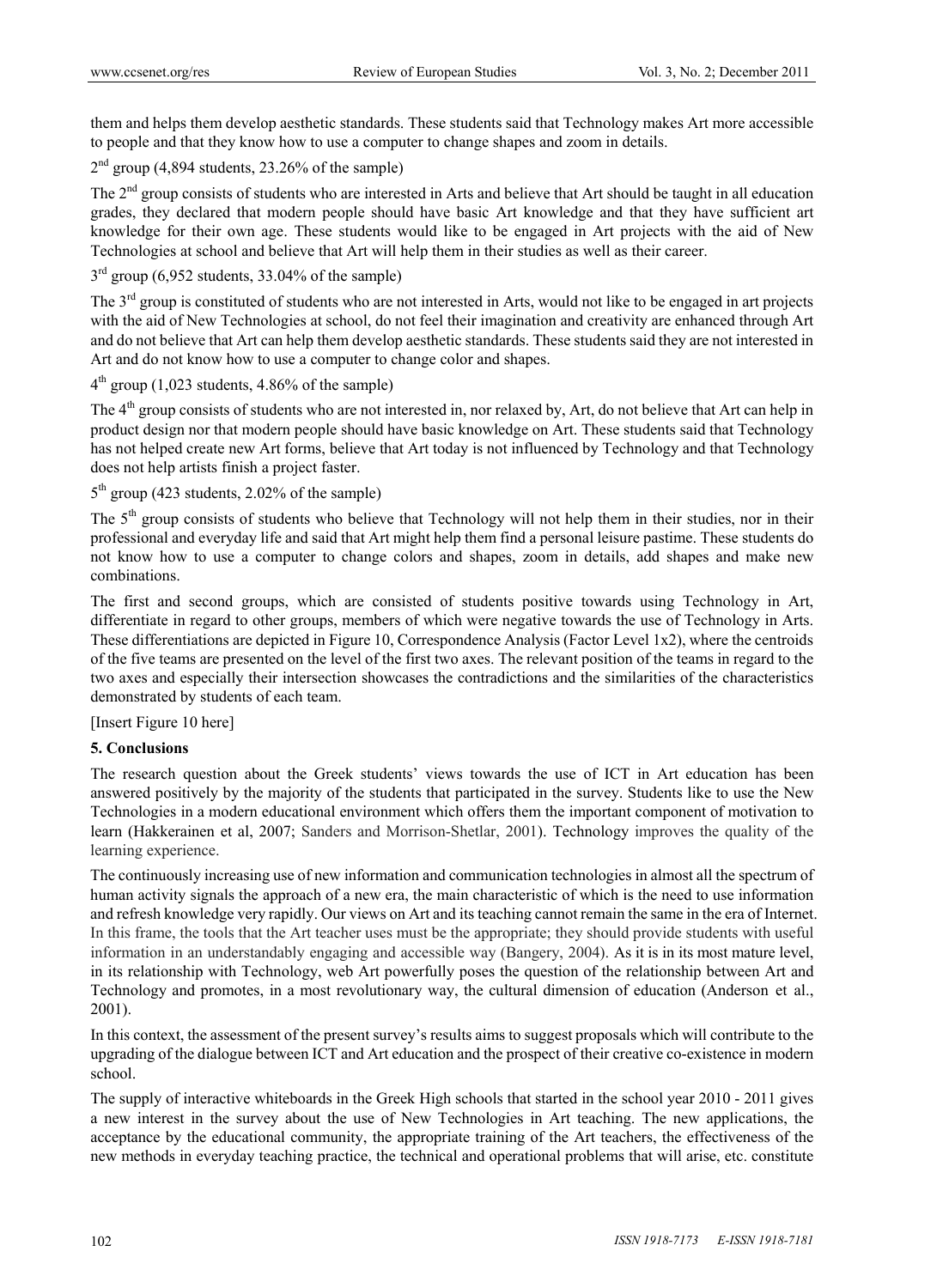them and helps them develop aesthetic standards. These students said that Technology makes Art more accessible to people and that they know how to use a computer to change shapes and zoom in details.

 $2<sup>nd</sup>$  group (4,894 students, 23.26% of the sample)

The  $2<sup>nd</sup>$  group consists of students who are interested in Arts and believe that Art should be taught in all education grades, they declared that modern people should have basic Art knowledge and that they have sufficient art knowledge for their own age. These students would like to be engaged in Art projects with the aid of New Technologies at school and believe that Art will help them in their studies as well as their career.

 $3<sup>rd</sup>$  group (6,952 students, 33.04% of the sample)

The  $3<sup>rd</sup>$  group is constituted of students who are not interested in Arts, would not like to be engaged in art projects with the aid of New Technologies at school, do not feel their imagination and creativity are enhanced through Art and do not believe that Art can help them develop aesthetic standards. These students said they are not interested in Art and do not know how to use a computer to change color and shapes.

 $4<sup>th</sup>$  group (1,023 students, 4.86% of the sample)

The 4<sup>th</sup> group consists of students who are not interested in, nor relaxed by, Art, do not believe that Art can help in product design nor that modern people should have basic knowledge on Art. These students said that Technology has not helped create new Art forms, believe that Art today is not influenced by Technology and that Technology does not help artists finish a project faster.

# $5<sup>th</sup>$  group (423 students, 2.02% of the sample)

The 5<sup>th</sup> group consists of students who believe that Technology will not help them in their studies, nor in their professional and everyday life and said that Art might help them find a personal leisure pastime. These students do not know how to use a computer to change colors and shapes, zoom in details, add shapes and make new combinations.

The first and second groups, which are consisted of students positive towards using Technology in Art, differentiate in regard to other groups, members of which were negative towards the use of Technology in Arts. These differentiations are depicted in Figure 10, Correspondence Analysis (Factor Level 1x2), where the centroids of the five teams are presented on the level of the first two axes. The relevant position of the teams in regard to the two axes and especially their intersection showcases the contradictions and the similarities of the characteristics demonstrated by students of each team.

[Insert Figure 10 here]

#### **5. Conclusions**

The research question about the Greek students' views towards the use of ICT in Art education has been answered positively by the majority of the students that participated in the survey. Students like to use the New Technologies in a modern educational environment which offers them the important component of motivation to learn (Hakkerainen et al, 2007; Sanders and Morrison-Shetlar, 2001). Technology improves the quality of the learning experience.

The continuously increasing use of new information and communication technologies in almost all the spectrum of human activity signals the approach of a new era, the main characteristic of which is the need to use information and refresh knowledge very rapidly. Our views on Art and its teaching cannot remain the same in the era of Internet. In this frame, the tools that the Art teacher uses must be the appropriate; they should provide students with useful information in an understandably engaging and accessible way (Bangery, 2004). As it is in its most mature level, in its relationship with Technology, web Art powerfully poses the question of the relationship between Art and Technology and promotes, in a most revolutionary way, the cultural dimension of education (Anderson et al., 2001).

In this context, the assessment of the present survey's results aims to suggest proposals which will contribute to the upgrading of the dialogue between ICT and Art education and the prospect of their creative co-existence in modern school.

The supply of interactive whiteboards in the Greek High schools that started in the school year 2010 - 2011 gives a new interest in the survey about the use of New Technologies in Art teaching. The new applications, the acceptance by the educational community, the appropriate training of the Art teachers, the effectiveness of the new methods in everyday teaching practice, the technical and operational problems that will arise, etc. constitute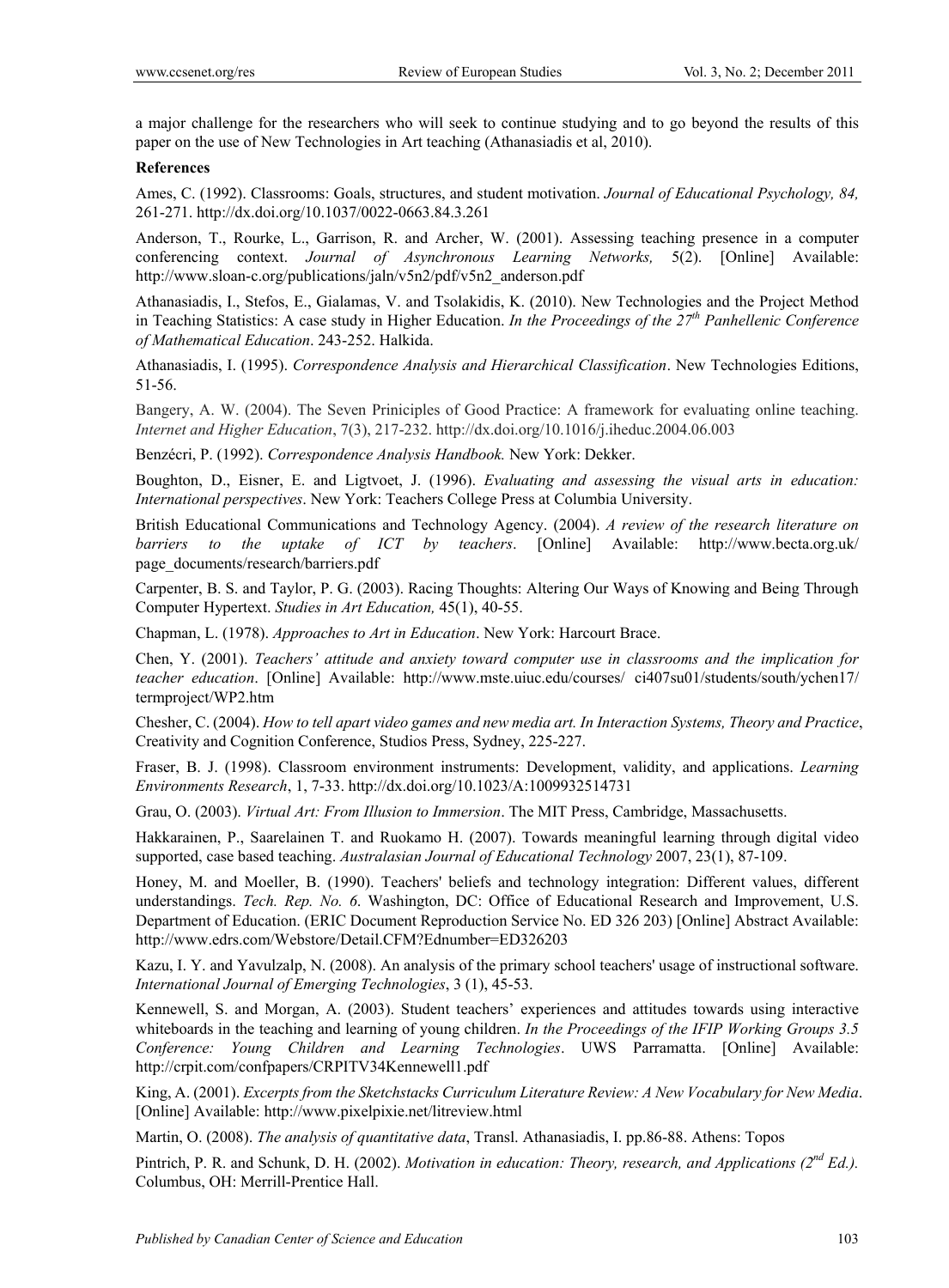a major challenge for the researchers who will seek to continue studying and to go beyond the results of this paper on the use of New Technologies in Art teaching (Athanasiadis et al, 2010).

#### **References**

Ames, C. (1992). Classrooms: Goals, structures, and student motivation. *Journal of Educational Psychology, 84,*  261-271. http://dx.doi.org/10.1037/0022-0663.84.3.261

Anderson, T., Rourke, L., Garrison, R. and Archer, W. (2001). Assessing teaching presence in a computer conferencing context. *Journal of Asynchronous Learning Networks,* 5(2). [Online] Available: http://www.sloan-c.org/publications/jaln/v5n2/pdf/v5n2\_anderson.pdf

Athanasiadis, I., Stefos, E., Gialamas, V. and Tsolakidis, K. (2010). New Technologies and the Project Method in Teaching Statistics: A case study in Higher Education. *In the Proceedings of the 27th Panhellenic Conference of Mathematical Education*. 243-252. Halkida.

Athanasiadis, I. (1995). *Correspondence Analysis and Hierarchical Classification*. New Technologies Editions, 51-56.

Bangery, A. W. (2004). The Seven Priniciples of Good Practice: A framework for evaluating online teaching. *Internet and Higher Education*, 7(3), 217-232. http://dx.doi.org/10.1016/j.iheduc.2004.06.003

Benzécri, P. (1992). *Correspondence Analysis Handbook.* New York: Dekker.

Boughton, D., Eisner, E. and Ligtvoet, J. (1996). *Evaluating and assessing the visual arts in education: International perspectives*. New York: Teachers College Press at Columbia University.

British Educational Communications and Technology Agency. (2004). *A review of the research literature on barriers to the uptake of ICT by teachers*. [Online] Available: http://www.becta.org.uk/ page\_documents/research/barriers.pdf

Carpenter, B. S. and Taylor, P. G. (2003). Racing Thoughts: Altering Our Ways of Knowing and Being Through Computer Hypertext. *Studies in Art Education,* 45(1), 40-55.

Chapman, L. (1978). *Approaches to Art in Education*. New York: Harcourt Brace.

Chen, Y. (2001). *Teachers' attitude and anxiety toward computer use in classrooms and the implication for teacher education*. [Online] Available: http://www.mste.uiuc.edu/courses/ ci407su01/students/south/ychen17/ termproject/WP2.htm

Chesher, C. (2004). *How to tell apart video games and new media art. In Interaction Systems, Theory and Practice*, Creativity and Cognition Conference, Studios Press, Sydney, 225-227.

Fraser, B. J. (1998). Classroom environment instruments: Development, validity, and applications. *Learning Environments Research*, 1, 7-33. http://dx.doi.org/10.1023/A:1009932514731

Grau, O. (2003). *Virtual Art: From Illusion to Immersion*. The MIT Press, Cambridge, Massachusetts.

Hakkarainen, P., Saarelainen T. and Ruokamo H. (2007). Towards meaningful learning through digital video supported, case based teaching. *Australasian Journal of Educational Technology* 2007, 23(1), 87-109.

Honey, M. and Moeller, B. (1990). Teachers' beliefs and technology integration: Different values, different understandings. *Tech. Rep. No. 6*. Washington, DC: Office of Educational Research and Improvement, U.S. Department of Education. (ERIC Document Reproduction Service No. ED 326 203) [Online] Abstract Available: http://www.edrs.com/Webstore/Detail.CFM?Ednumber=ED326203

Kazu, I. Y. and Yavulzalp, N. (2008). An analysis of the primary school teachers' usage of instructional software. *International Journal of Emerging Technologies*, 3 (1), 45-53.

Kennewell, S. and Morgan, A. (2003). Student teachers' experiences and attitudes towards using interactive whiteboards in the teaching and learning of young children. *In the Proceedings of the IFIP Working Groups 3.5 Conference: Young Children and Learning Technologies*. UWS Parramatta. [Online] Available: http://crpit.com/confpapers/CRPITV34Kennewell1.pdf

King, A. (2001). *Excerpts from the Sketchstacks Curriculum Literature Review: A New Vocabulary for New Media*. [Online] Available: http://www.pixelpixie.net/litreview.html

Martin, O. (2008). *The analysis of quantitative data*, Transl. Athanasiadis, I. pp.86-88. Athens: Topos

Pintrich, P. R. and Schunk, D. H. (2002). *Motivation in education: Theory, research, and Applications (2nd Ed.).* Columbus, OH: Merrill-Prentice Hall.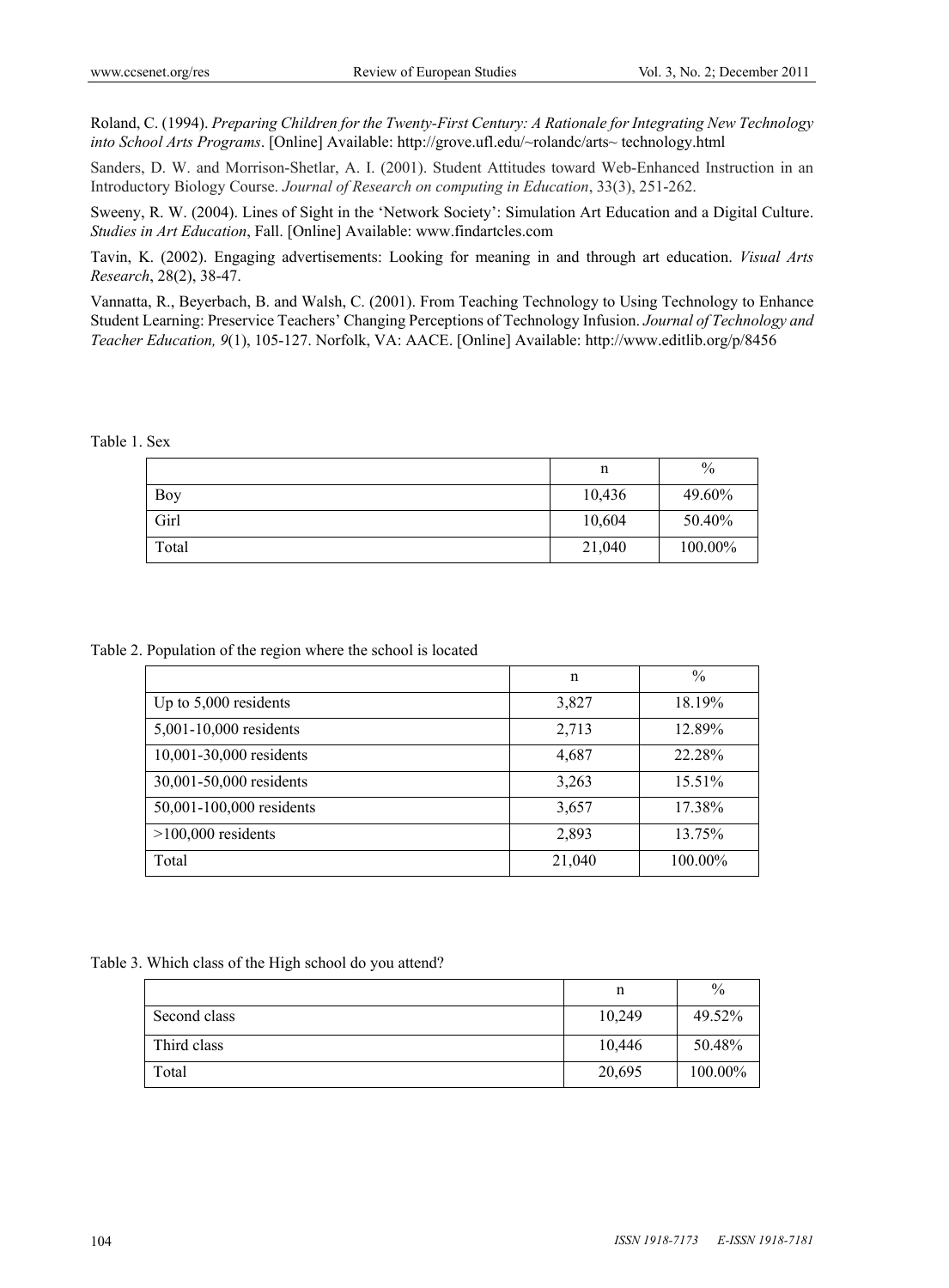Roland, C. (1994). *Preparing Children for the Twenty-First Century: A Rationale for Integrating New Technology into School Arts Programs*. [Online] Available: http://grove.ufl.edu/~rolandc/arts~ technology.html

Sanders, D. W. and Morrison-Shetlar, A. I. (2001). Student Attitudes toward Web-Enhanced Instruction in an Introductory Biology Course. *Journal of Research on computing in Education*, 33(3), 251-262.

Sweeny, R. W. (2004). Lines of Sight in the 'Network Society': Simulation Art Education and a Digital Culture. *Studies in Art Education*, Fall. [Online] Available: www.findartcles.com

Tavin, K. (2002). Engaging advertisements: Looking for meaning in and through art education. *Visual Arts Research*, 28(2), 38-47.

Vannatta, R., Beyerbach, B. and Walsh, C. (2001). From Teaching Technology to Using Technology to Enhance Student Learning: Preservice Teachers' Changing Perceptions of Technology Infusion. *Journal of Technology and Teacher Education, 9*(1), 105-127. Norfolk, VA: AACE. [Online] Available: http://www.editlib.org/p/8456

#### Table 1. Sex

|       | n      | $\%$    |
|-------|--------|---------|
| Boy   | 10,436 | 49.60%  |
| Girl  | 10,604 | 50.40%  |
| Total | 21,040 | 100.00% |

Table 2. Population of the region where the school is located

|                          | n      | $\frac{0}{0}$ |
|--------------------------|--------|---------------|
| Up to 5,000 residents    | 3,827  | 18.19%        |
| 5,001-10,000 residents   | 2,713  | 12.89%        |
| 10,001-30,000 residents  | 4,687  | 22.28%        |
| 30,001-50,000 residents  | 3,263  | 15.51%        |
| 50,001-100,000 residents | 3,657  | 17.38%        |
| $>100,000$ residents     | 2,893  | 13.75%        |
| Total                    | 21,040 | 100.00%       |

Table 3. Which class of the High school do you attend?

|              | n      | $\frac{0}{0}$ |
|--------------|--------|---------------|
| Second class | 10,249 | 49.52%        |
| Third class  | 10,446 | 50.48%        |
| Total        | 20,695 | 100.00%       |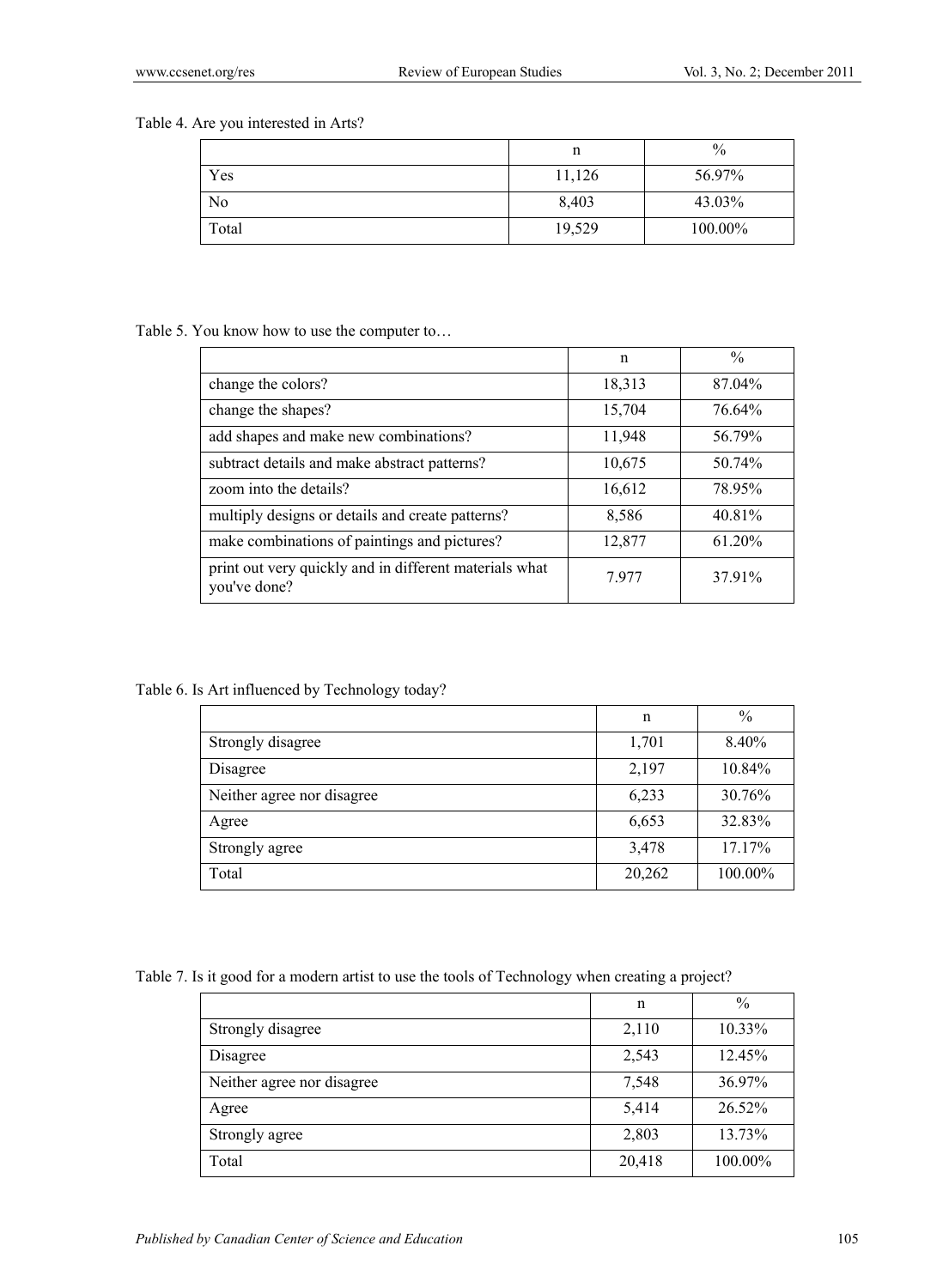## Table 4. Are you interested in Arts?

|       | n      | $\frac{0}{0}$ |
|-------|--------|---------------|
| Yes   | 11,126 | 56.97%        |
| No    | 8,403  | 43.03%        |
| Total | 19,529 | 100.00%       |

#### Table 5. You know how to use the computer to…

|                                                                        | n      | $\frac{0}{0}$ |
|------------------------------------------------------------------------|--------|---------------|
| change the colors?                                                     | 18,313 | 87.04%        |
| change the shapes?                                                     | 15,704 | 76.64%        |
| add shapes and make new combinations?                                  | 11,948 | 56.79%        |
| subtract details and make abstract patterns?                           | 10,675 | 50.74%        |
| zoom into the details?                                                 | 16,612 | 78.95%        |
| multiply designs or details and create patterns?                       | 8,586  | 40.81%        |
| make combinations of paintings and pictures?                           | 12,877 | $61.20\%$     |
| print out very quickly and in different materials what<br>you've done? | 7977   | 37.91%        |

# Table 6. Is Art influenced by Technology today?

|                            | n      | $\%$    |
|----------------------------|--------|---------|
| Strongly disagree          | 1,701  | 8.40%   |
| Disagree                   | 2,197  | 10.84%  |
| Neither agree nor disagree | 6,233  | 30.76%  |
| Agree                      | 6,653  | 32.83%  |
| Strongly agree             | 3,478  | 17.17%  |
| Total                      | 20,262 | 100.00% |

Table 7. Is it good for a modern artist to use the tools of Technology when creating a project?

|                            | n      | $\frac{0}{0}$ |
|----------------------------|--------|---------------|
| Strongly disagree          | 2,110  | $10.33\%$     |
| Disagree                   | 2,543  | 12.45%        |
| Neither agree nor disagree | 7,548  | 36.97%        |
| Agree                      | 5,414  | 26.52%        |
| Strongly agree             | 2,803  | 13.73%        |
| Total                      | 20,418 | 100.00%       |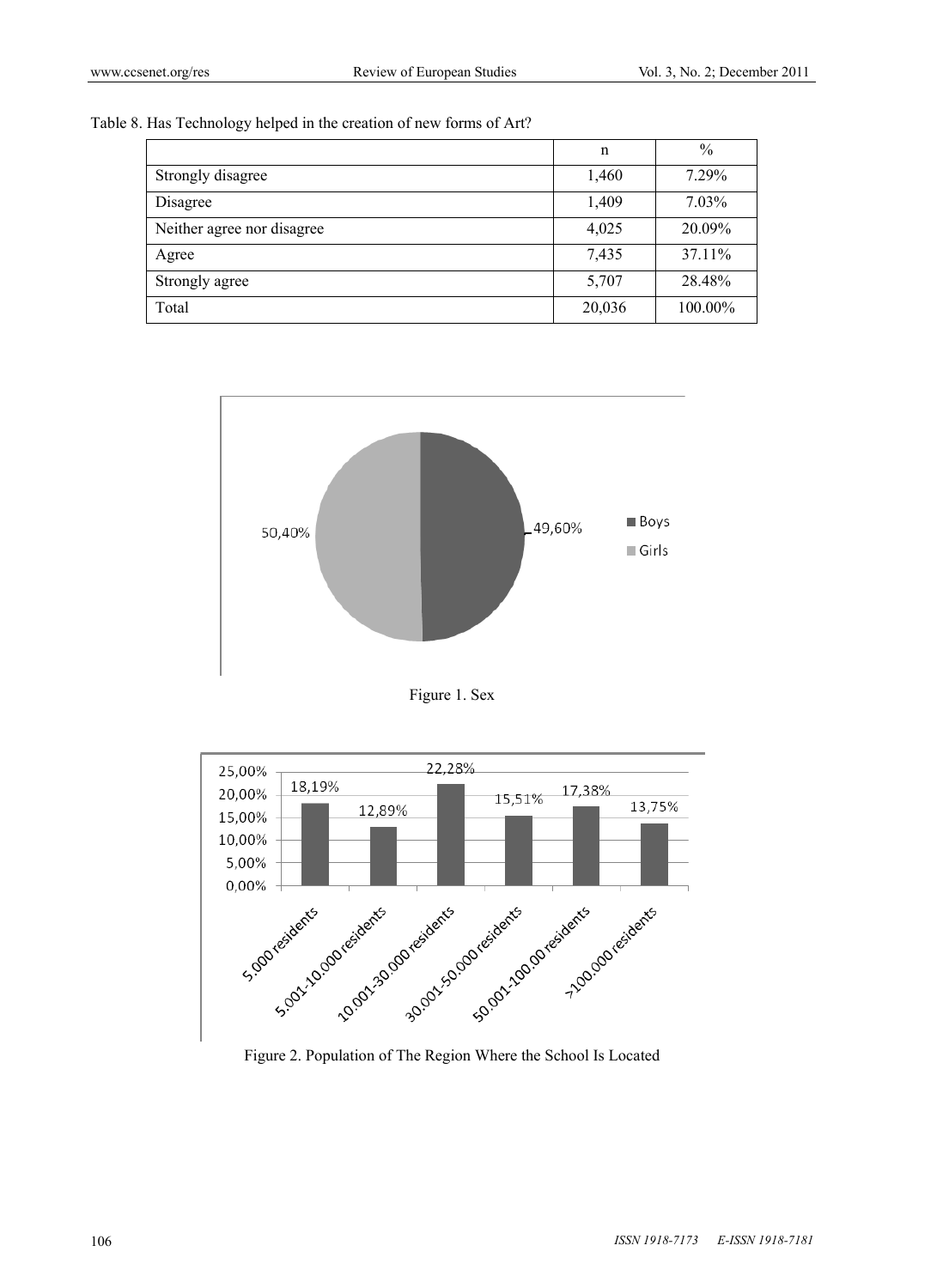Table 8. Has Technology helped in the creation of new forms of Art?

|                            | n      | $\%$    |
|----------------------------|--------|---------|
| Strongly disagree          | 1,460  | 7.29%   |
| Disagree                   | 1,409  | 7.03%   |
| Neither agree nor disagree | 4,025  | 20.09%  |
| Agree                      | 7,435  | 37.11%  |
| Strongly agree             | 5,707  | 28.48%  |
| Total                      | 20,036 | 100.00% |



Figure 1. Sex



Figure 2. Population of The Region Where the School Is Located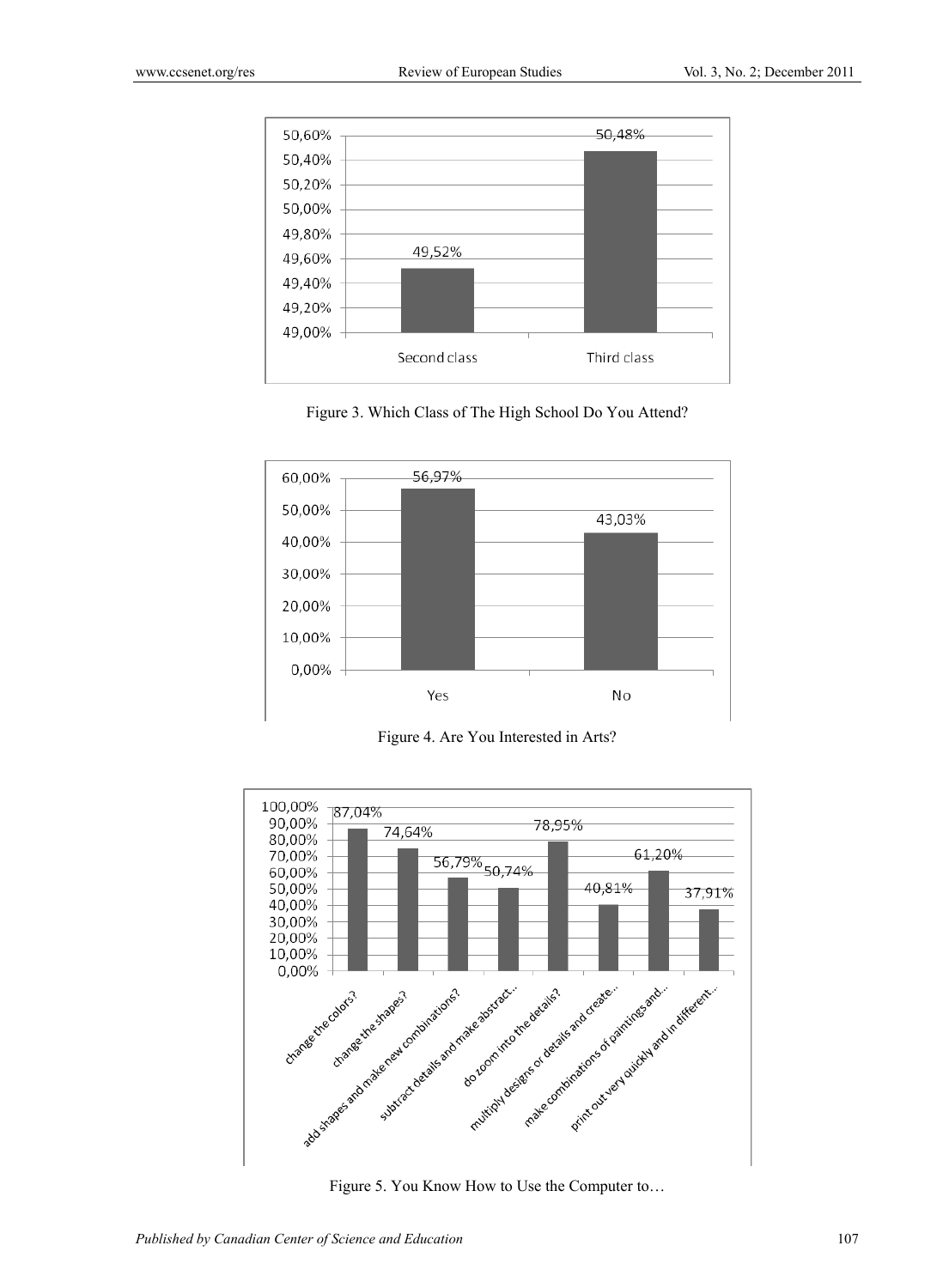





Figure 4. Are You Interested in Arts?



Figure 5. You Know How to Use the Computer to…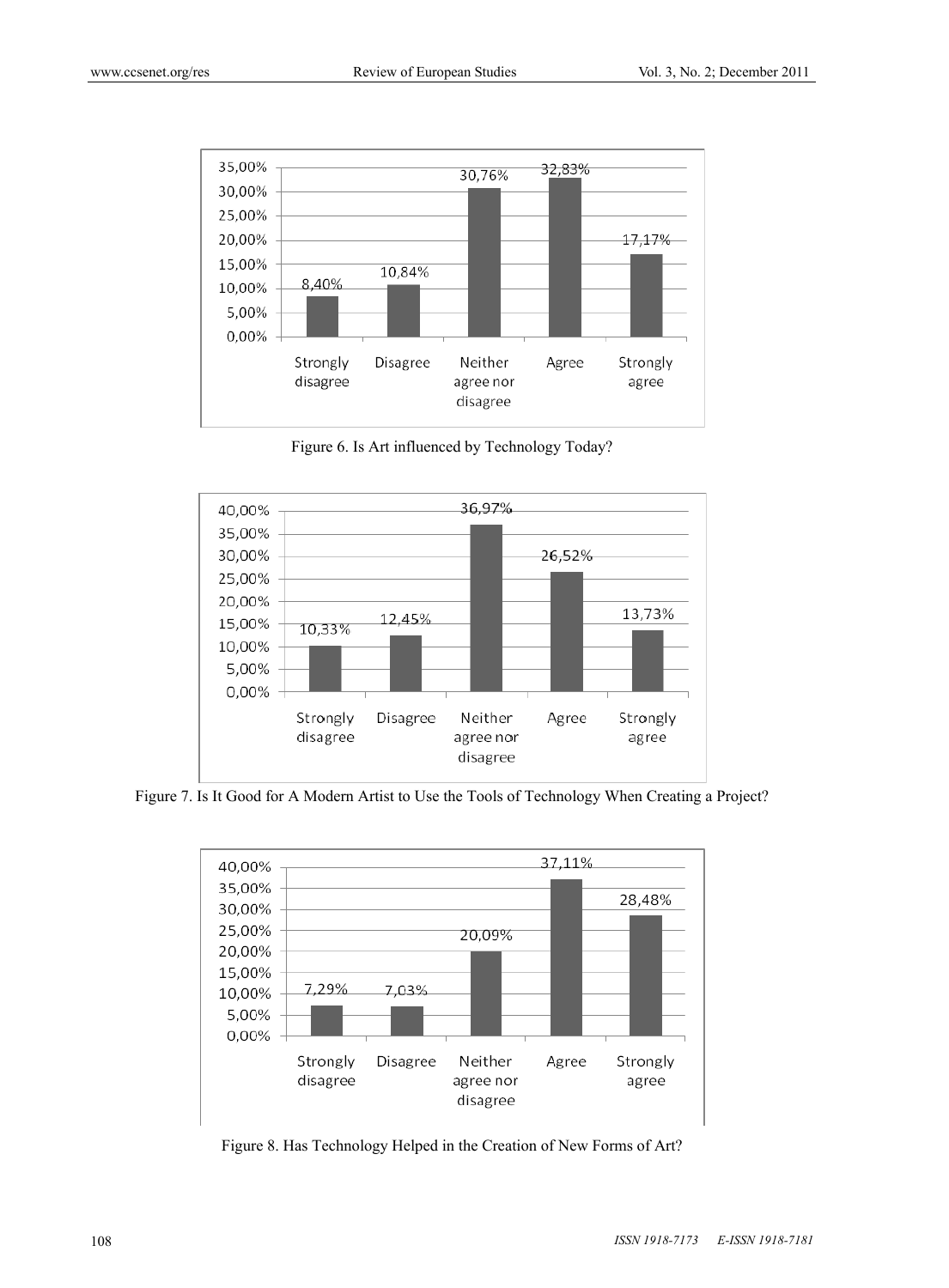

Figure 6. Is Art influenced by Technology Today?



Figure 7. Is It Good for A Modern Artist to Use the Tools of Technology When Creating a Project?



Figure 8. Has Technology Helped in the Creation of New Forms of Art?